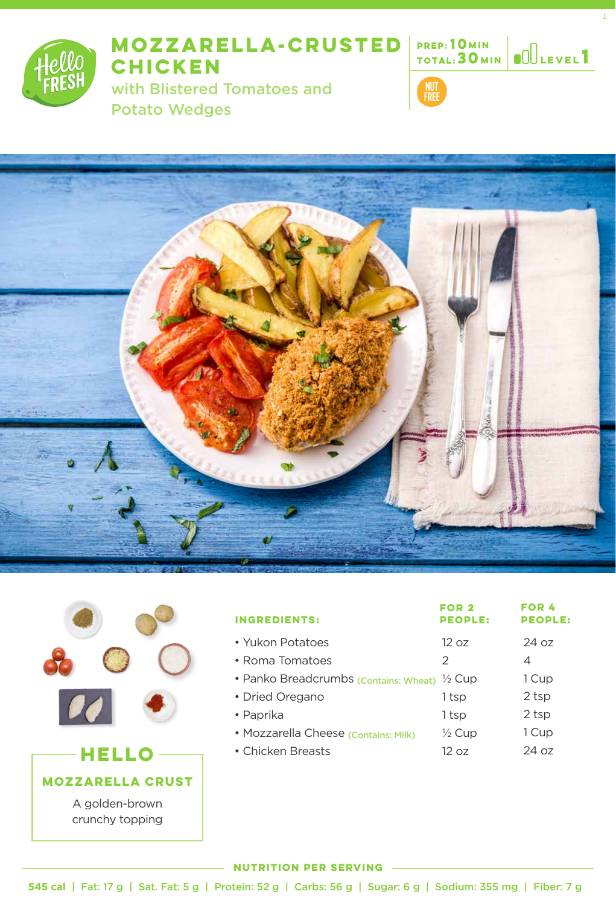

# **MOZZARELLA-CRUSTED CHICKEN**

with Blistered Tomatoes and Potato Wedges



**10 30 MIN**

**1 MIN Level**

1





# **MOZZARELLA CRUST HELLO**

A golden-brown crunchy topping

| <b>INGREDIENTS:</b>                   | <b>FOR 2</b><br><b>PEOPLE:</b> | <b>FOR 4</b><br><b>PEOPLE:</b> |
|---------------------------------------|--------------------------------|--------------------------------|
| • Yukon Potatoes                      | 12 oz                          | 24 oz                          |
| • Roma Tomatoes                       | 2                              | 4                              |
| • Panko Breadcrumbs (Contains: Wheat) | $\frac{1}{2}$ Cup              | 1 Cup                          |
| • Dried Oregano                       | 1 tsp                          | 2 tsp                          |
| • Paprika                             | 1 tsp                          | 2 tsp                          |
| · Mozzarella Cheese (Contains: Milk)  | $\frac{1}{2}$ Cup              | 1 Cup                          |
| • Chicken Breasts                     | 12 oz                          | 24 oz                          |

#### **NUTRITION PER SERVING**